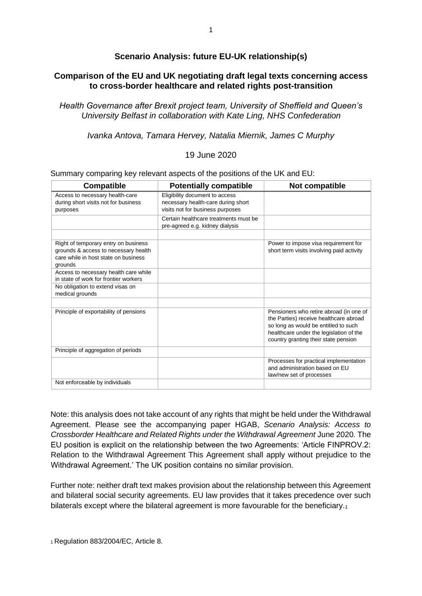# **Scenario Analysis: future EU-UK relationship(s)**

## **Comparison of the EU and UK negotiating draft legal texts concerning access to cross-border healthcare and related rights post-transition**

*Health Governance after Brexit project team, University of Sheffield and Queen's University Belfast in collaboration with Kate Ling, NHS Confederation* 

*Ivanka Antova, Tamara Hervey, Natalia Miernik, James C Murphy* 

### 19 June 2020

|  |  |  |  |  |  | Summary comparing key relevant aspects of the positions of the UK and EU: |
|--|--|--|--|--|--|---------------------------------------------------------------------------|
|--|--|--|--|--|--|---------------------------------------------------------------------------|

| <b>Compatible</b>                                                                                                               | <b>Potentially compatible</b>                                                                            | Not compatible                                                                                                                                                                                               |
|---------------------------------------------------------------------------------------------------------------------------------|----------------------------------------------------------------------------------------------------------|--------------------------------------------------------------------------------------------------------------------------------------------------------------------------------------------------------------|
| Access to necessary health-care<br>during short visits not for business<br>purposes                                             | Eligibility document to access<br>necessary health-care during short<br>visits not for business purposes |                                                                                                                                                                                                              |
|                                                                                                                                 | Certain healthcare treatments must be<br>pre-agreed e.g. kidney dialysis                                 |                                                                                                                                                                                                              |
| Right of temporary entry on business<br>grounds & access to necessary health<br>care while in host state on business<br>grounds |                                                                                                          | Power to impose visa requirement for<br>short term visits involving paid activity                                                                                                                            |
| Access to necessary health care while<br>in state of work for frontier workers                                                  |                                                                                                          |                                                                                                                                                                                                              |
| No obligation to extend visas on<br>medical grounds                                                                             |                                                                                                          |                                                                                                                                                                                                              |
|                                                                                                                                 |                                                                                                          |                                                                                                                                                                                                              |
| Principle of exportability of pensions                                                                                          |                                                                                                          | Pensioners who retire abroad (in one of<br>the Parties) receive healthcare abroad<br>so long as would be entitled to such<br>healthcare under the legislation of the<br>country granting their state pension |
| Principle of aggregation of periods                                                                                             |                                                                                                          |                                                                                                                                                                                                              |
|                                                                                                                                 |                                                                                                          | Processes for practical implementation<br>and administration based on EU<br>law/new set of processes                                                                                                         |
| Not enforceable by individuals                                                                                                  |                                                                                                          |                                                                                                                                                                                                              |

Note: this analysis does not take account of any rights that might be held under the Withdrawal Agreement. Please see the accompanying paper HGAB, *Scenario Analysis: Access to Crossborder Healthcare and Related Rights under the Withdrawal Agreement* June 2020. The EU position is explicit on the relationship between the two Agreements: 'Article FINPROV.2: Relation to the Withdrawal Agreement This Agreement shall apply without prejudice to the Withdrawal Agreement.' The UK position contains no similar provision.

Further note: neither draft text makes provision about the relationship between this Agreement and bilateral social security agreements. EU law provides that it takes precedence over such bilaterals except where the bilateral agreement is more favourable for the beneficiary.1

1 Regulation 883/2004/EC, Article 8.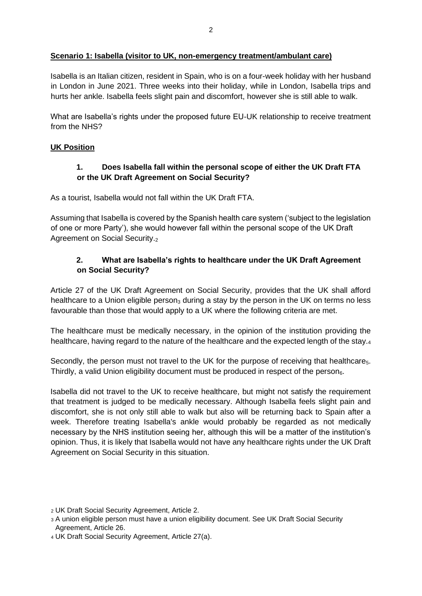### **Scenario 1: Isabella (visitor to UK, non-emergency treatment/ambulant care)**

Isabella is an Italian citizen, resident in Spain, who is on a four-week holiday with her husband in London in June 2021. Three weeks into their holiday, while in London, Isabella trips and hurts her ankle. Isabella feels slight pain and discomfort, however she is still able to walk.

What are Isabella's rights under the proposed future EU-UK relationship to receive treatment from the NHS?

### **UK Position**

## **1. Does Isabella fall within the personal scope of either the UK Draft FTA or the UK Draft Agreement on Social Security?**

As a tourist, Isabella would not fall within the UK Draft FTA.

Assuming that Isabella is covered by the Spanish health care system ('subject to the legislation of one or more Party'), she would however fall within the personal scope of the UK Draft Agreement on Social Security.<sub>2</sub>

## **2. What are Isabella's rights to healthcare under the UK Draft Agreement on Social Security?**

Article 27 of the UK Draft Agreement on Social Security, provides that the UK shall afford healthcare to a Union eligible person<sub>3</sub> during a stay by the person in the UK on terms no less favourable than those that would apply to a UK where the following criteria are met.

The healthcare must be medically necessary, in the opinion of the institution providing the healthcare, having regard to the nature of the healthcare and the expected length of the stay.<sub>4</sub>

Secondly, the person must not travel to the UK for the purpose of receiving that healthcare<sub>5</sub>. Thirdly, a valid Union eligibility document must be produced in respect of the person $<sub>6</sub>$ .</sub>

Isabella did not travel to the UK to receive healthcare, but might not satisfy the requirement that treatment is judged to be medically necessary. Although Isabella feels slight pain and discomfort, she is not only still able to walk but also will be returning back to Spain after a week. Therefore treating Isabella's ankle would probably be regarded as not medically necessary by the NHS institution seeing her, although this will be a matter of the institution's opinion. Thus, it is likely that Isabella would not have any healthcare rights under the UK Draft Agreement on Social Security in this situation.

<sup>2</sup> UK Draft Social Security Agreement, Article 2.

<sup>3</sup> A union eligible person must have a union eligibility document. See UK Draft Social Security Agreement, Article 26.

<sup>4</sup> UK Draft Social Security Agreement, Article 27(a).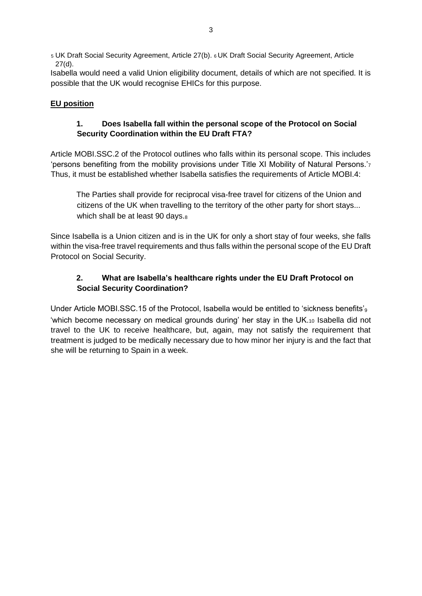<sup>5</sup> UK Draft Social Security Agreement, Article 27(b). 6 UK Draft Social Security Agreement, Article 27(d).

Isabella would need a valid Union eligibility document, details of which are not specified. It is possible that the UK would recognise EHICs for this purpose.

# **EU position**

## **1. Does Isabella fall within the personal scope of the Protocol on Social Security Coordination within the EU Draft FTA?**

Article MOBI.SSC.2 of the Protocol outlines who falls within its personal scope. This includes 'persons benefiting from the mobility provisions under Title XI Mobility of Natural Persons.'<sup>7</sup> Thus, it must be established whether Isabella satisfies the requirements of Article MOBI.4:

The Parties shall provide for reciprocal visa-free travel for citizens of the Union and citizens of the UK when travelling to the territory of the other party for short stays... which shall be at least 90 days.<sup>8</sup>

Since Isabella is a Union citizen and is in the UK for only a short stay of four weeks, she falls within the visa-free travel requirements and thus falls within the personal scope of the EU Draft Protocol on Social Security.

# **2. What are Isabella's healthcare rights under the EU Draft Protocol on Social Security Coordination?**

Under Article MOBI.SSC.15 of the Protocol, Isabella would be entitled to 'sickness benefits'<sub>9</sub> 'which become necessary on medical grounds during' her stay in the UK.<sup>10</sup> Isabella did not travel to the UK to receive healthcare, but, again, may not satisfy the requirement that treatment is judged to be medically necessary due to how minor her injury is and the fact that she will be returning to Spain in a week.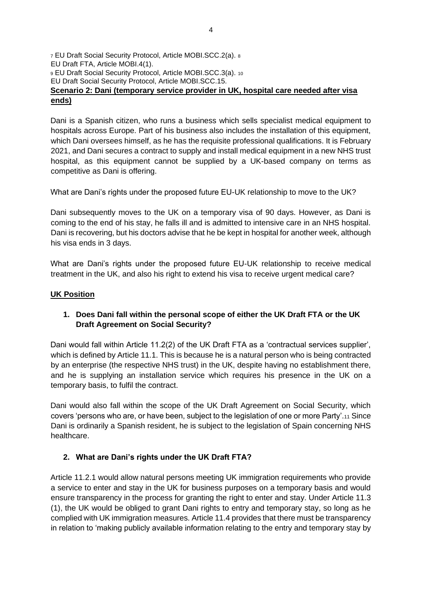<sup>7</sup> EU Draft Social Security Protocol, Article MOBI.SCC.2(a). <sup>8</sup> EU Draft FTA, Article MOBI.4(1). <sup>9</sup> EU Draft Social Security Protocol, Article MOBI.SCC.3(a). <sup>10</sup> EU Draft Social Security Protocol, Article MOBI.SCC.15. **Scenario 2: Dani (temporary service provider in UK, hospital care needed after visa ends)**

Dani is a Spanish citizen, who runs a business which sells specialist medical equipment to hospitals across Europe. Part of his business also includes the installation of this equipment, which Dani oversees himself, as he has the requisite professional qualifications. It is February 2021, and Dani secures a contract to supply and install medical equipment in a new NHS trust hospital, as this equipment cannot be supplied by a UK-based company on terms as competitive as Dani is offering.

What are Dani's rights under the proposed future EU-UK relationship to move to the UK?

Dani subsequently moves to the UK on a temporary visa of 90 days. However, as Dani is coming to the end of his stay, he falls ill and is admitted to intensive care in an NHS hospital. Dani is recovering, but his doctors advise that he be kept in hospital for another week, although his visa ends in 3 days.

What are Dani's rights under the proposed future EU-UK relationship to receive medical treatment in the UK, and also his right to extend his visa to receive urgent medical care?

## **UK Position**

## **1. Does Dani fall within the personal scope of either the UK Draft FTA or the UK Draft Agreement on Social Security?**

Dani would fall within Article 11.2(2) of the UK Draft FTA as a 'contractual services supplier', which is defined by Article 11.1. This is because he is a natural person who is being contracted by an enterprise (the respective NHS trust) in the UK, despite having no establishment there, and he is supplying an installation service which requires his presence in the UK on a temporary basis, to fulfil the contract.

Dani would also fall within the scope of the UK Draft Agreement on Social Security, which covers 'persons who are, or have been, subject to the legislation of one or more Party'.<sup>11</sup> Since Dani is ordinarily a Spanish resident, he is subject to the legislation of Spain concerning NHS healthcare.

## **2. What are Dani's rights under the UK Draft FTA?**

Article 11.2.1 would allow natural persons meeting UK immigration requirements who provide a service to enter and stay in the UK for business purposes on a temporary basis and would ensure transparency in the process for granting the right to enter and stay. Under Article 11.3 (1), the UK would be obliged to grant Dani rights to entry and temporary stay, so long as he complied with UK immigration measures. Article 11.4 provides that there must be transparency in relation to 'making publicly available information relating to the entry and temporary stay by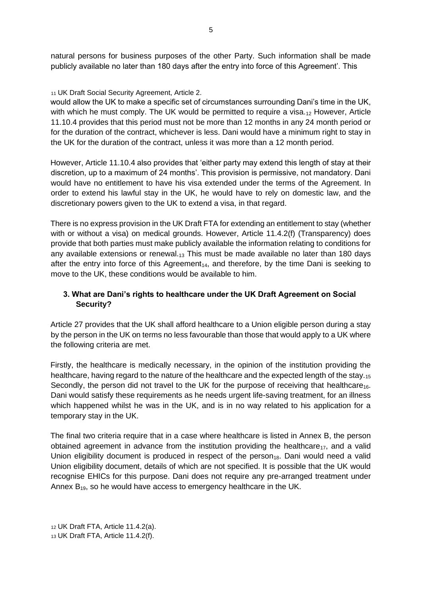natural persons for business purposes of the other Party. Such information shall be made publicly available no later than 180 days after the entry into force of this Agreement'. This

### <sup>11</sup> UK Draft Social Security Agreement, Article 2.

would allow the UK to make a specific set of circumstances surrounding Dani's time in the UK, with which he must comply. The UK would be permitted to require a visa. $_{12}$  However, Article 11.10.4 provides that this period must not be more than 12 months in any 24 month period or for the duration of the contract, whichever is less. Dani would have a minimum right to stay in the UK for the duration of the contract, unless it was more than a 12 month period.

However, Article 11.10.4 also provides that 'either party may extend this length of stay at their discretion, up to a maximum of 24 months'. This provision is permissive, not mandatory. Dani would have no entitlement to have his visa extended under the terms of the Agreement. In order to extend his lawful stay in the UK, he would have to rely on domestic law, and the discretionary powers given to the UK to extend a visa, in that regard.

There is no express provision in the UK Draft FTA for extending an entitlement to stay (whether with or without a visa) on medical grounds. However, Article 11.4.2(f) (Transparency) does provide that both parties must make publicly available the information relating to conditions for any available extensions or renewal. $_{13}$  This must be made available no later than 180 days after the entry into force of this Agreement<sub>14</sub>, and therefore, by the time Dani is seeking to move to the UK, these conditions would be available to him.

## **3. What are Dani's rights to healthcare under the UK Draft Agreement on Social Security?**

Article 27 provides that the UK shall afford healthcare to a Union eligible person during a stay by the person in the UK on terms no less favourable than those that would apply to a UK where the following criteria are met.

Firstly, the healthcare is medically necessary, in the opinion of the institution providing the healthcare, having regard to the nature of the healthcare and the expected length of the stay.15 Secondly, the person did not travel to the UK for the purpose of receiving that healthcare<sub>16</sub>. Dani would satisfy these requirements as he needs urgent life-saving treatment, for an illness which happened whilst he was in the UK, and is in no way related to his application for a temporary stay in the UK.

The final two criteria require that in a case where healthcare is listed in Annex B, the person obtained agreement in advance from the institution providing the healthcare $_{17}$ , and a valid Union eligibility document is produced in respect of the person<sub>18</sub>. Dani would need a valid Union eligibility document, details of which are not specified. It is possible that the UK would recognise EHICs for this purpose. Dani does not require any pre-arranged treatment under Annex  $B_{19}$ , so he would have access to emergency healthcare in the UK.

<sup>12</sup> UK Draft FTA, Article 11.4.2(a).

<sup>13</sup> UK Draft FTA, Article 11.4.2(f).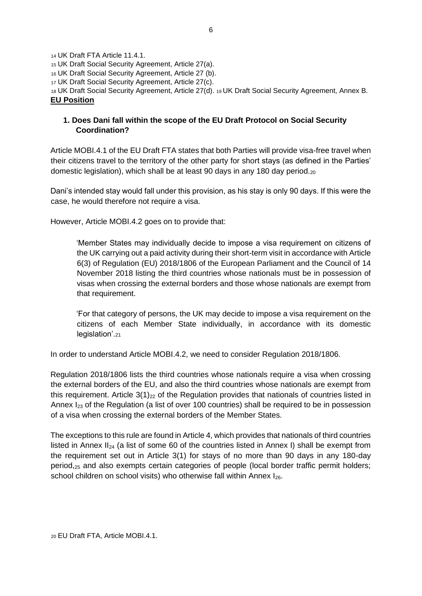UK Draft FTA Article 11.4.1. UK Draft Social Security Agreement, Article 27(a). UK Draft Social Security Agreement, Article 27 (b). UK Draft Social Security Agreement, Article 27(c). UK Draft Social Security Agreement, Article 27(d). 19 UK Draft Social Security Agreement, Annex B. **EU Position**

## **1. Does Dani fall within the scope of the EU Draft Protocol on Social Security Coordination?**

Article MOBI.4.1 of the EU Draft FTA states that both Parties will provide visa-free travel when their citizens travel to the territory of the other party for short stays (as defined in the Parties' domestic legislation), which shall be at least 90 days in any 180 day period. $_{20}$ 

Dani's intended stay would fall under this provision, as his stay is only 90 days. If this were the case, he would therefore not require a visa.

However, Article MOBI.4.2 goes on to provide that:

'Member States may individually decide to impose a visa requirement on citizens of the UK carrying out a paid activity during their short-term visit in accordance with Article 6(3) of Regulation (EU) 2018/1806 of the European Parliament and the Council of 14 November 2018 listing the third countries whose nationals must be in possession of visas when crossing the external borders and those whose nationals are exempt from that requirement.

'For that category of persons, the UK may decide to impose a visa requirement on the citizens of each Member State individually, in accordance with its domestic legislation'.<sup>21</sup>

In order to understand Article MOBI.4.2, we need to consider Regulation 2018/1806.

Regulation 2018/1806 lists the third countries whose nationals require a visa when crossing the external borders of the EU, and also the third countries whose nationals are exempt from this requirement. Article  $3(1)_{22}$  of the Regulation provides that nationals of countries listed in Annex I<sub>23</sub> of the Regulation (a list of over 100 countries) shall be required to be in possession of a visa when crossing the external borders of the Member States.

The exceptions to this rule are found in Article 4, which provides that nationals of third countries listed in Annex II<sub>24</sub> (a list of some 60 of the countries listed in Annex I) shall be exempt from the requirement set out in Article 3(1) for stays of no more than 90 days in any 180-day period,<sup>25</sup> and also exempts certain categories of people (local border traffic permit holders; school children on school visits) who otherwise fall within Annex I<sub>26</sub>.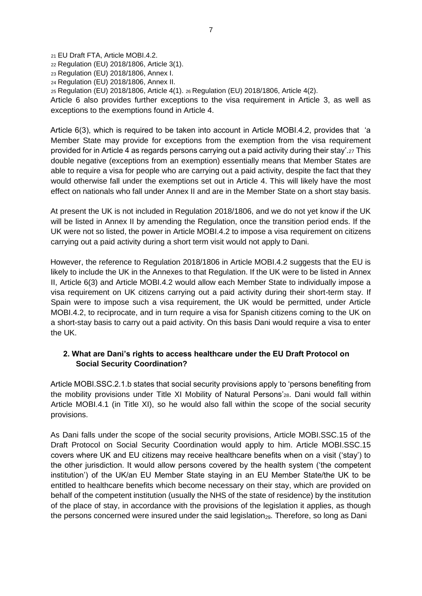EU Draft FTA, Article MOBI.4.2. Regulation (EU) 2018/1806, Article 3(1). Regulation (EU) 2018/1806, Annex I. Regulation (EU) 2018/1806, Annex II. Regulation (EU) 2018/1806, Article 4(1). 26 Regulation (EU) 2018/1806, Article 4(2). Article 6 also provides further exceptions to the visa requirement in Article 3, as well as exceptions to the exemptions found in Article 4.

Article 6(3), which is required to be taken into account in Article MOBI.4.2, provides that 'a Member State may provide for exceptions from the exemption from the visa requirement provided for in Article 4 as regards persons carrying out a paid activity during their stay'.<sup>27</sup> This double negative (exceptions from an exemption) essentially means that Member States are able to require a visa for people who are carrying out a paid activity, despite the fact that they would otherwise fall under the exemptions set out in Article 4. This will likely have the most effect on nationals who fall under Annex II and are in the Member State on a short stay basis.

At present the UK is not included in Regulation 2018/1806, and we do not yet know if the UK will be listed in Annex II by amending the Regulation, once the transition period ends. If the UK were not so listed, the power in Article MOBI.4.2 to impose a visa requirement on citizens carrying out a paid activity during a short term visit would not apply to Dani.

However, the reference to Regulation 2018/1806 in Article MOBI.4.2 suggests that the EU is likely to include the UK in the Annexes to that Regulation. If the UK were to be listed in Annex II, Article 6(3) and Article MOBI.4.2 would allow each Member State to individually impose a visa requirement on UK citizens carrying out a paid activity during their short-term stay. If Spain were to impose such a visa requirement, the UK would be permitted, under Article MOBI.4.2, to reciprocate, and in turn require a visa for Spanish citizens coming to the UK on a short-stay basis to carry out a paid activity. On this basis Dani would require a visa to enter the UK.

## **2. What are Dani's rights to access healthcare under the EU Draft Protocol on Social Security Coordination?**

Article MOBI.SSC.2.1.b states that social security provisions apply to 'persons benefiting from the mobility provisions under Title XI Mobility of Natural Persons'28. Dani would fall within Article MOBI.4.1 (in Title XI), so he would also fall within the scope of the social security provisions.

As Dani falls under the scope of the social security provisions, Article MOBI.SSC.15 of the Draft Protocol on Social Security Coordination would apply to him. Article MOBI.SSC.15 covers where UK and EU citizens may receive healthcare benefits when on a visit ('stay') to the other jurisdiction. It would allow persons covered by the health system ('the competent institution') of the UK/an EU Member State staying in an EU Member State/the UK to be entitled to healthcare benefits which become necessary on their stay, which are provided on behalf of the competent institution (usually the NHS of the state of residence) by the institution of the place of stay, in accordance with the provisions of the legislation it applies, as though the persons concerned were insured under the said legislation<sub>29</sub>. Therefore, so long as Dani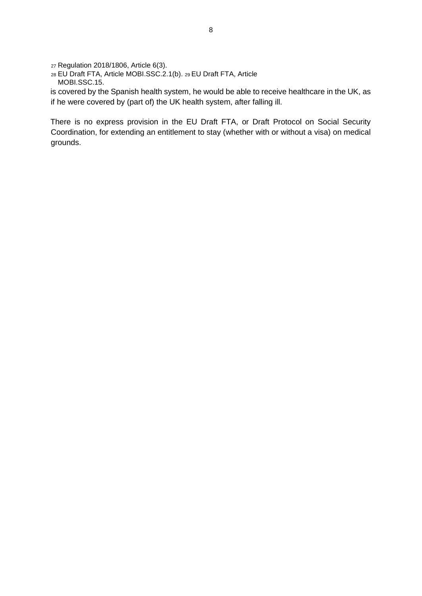<sup>27</sup> Regulation 2018/1806, Article 6(3).

<sup>28</sup> EU Draft FTA, Article MOBI.SSC.2.1(b). 29 EU Draft FTA, Article MOBI.SSC.15.

is covered by the Spanish health system, he would be able to receive healthcare in the UK, as if he were covered by (part of) the UK health system, after falling ill.

There is no express provision in the EU Draft FTA, or Draft Protocol on Social Security Coordination, for extending an entitlement to stay (whether with or without a visa) on medical grounds.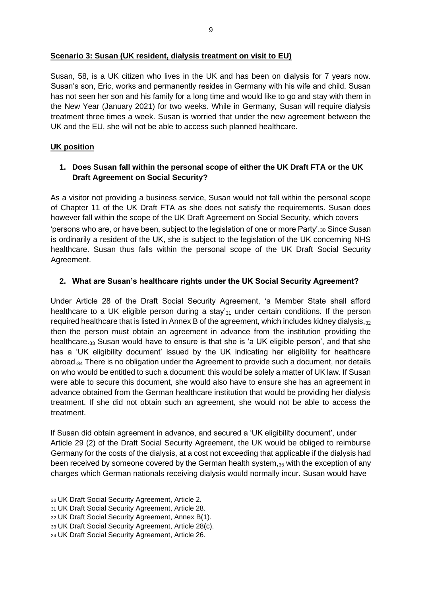Susan, 58, is a UK citizen who lives in the UK and has been on dialysis for 7 years now. Susan's son, Eric, works and permanently resides in Germany with his wife and child. Susan has not seen her son and his family for a long time and would like to go and stay with them in the New Year (January 2021) for two weeks. While in Germany, Susan will require dialysis treatment three times a week. Susan is worried that under the new agreement between the UK and the EU, she will not be able to access such planned healthcare.

## **UK position**

## **1. Does Susan fall within the personal scope of either the UK Draft FTA or the UK Draft Agreement on Social Security?**

As a visitor not providing a business service, Susan would not fall within the personal scope of Chapter 11 of the UK Draft FTA as she does not satisfy the requirements. Susan does however fall within the scope of the UK Draft Agreement on Social Security, which covers 'persons who are, or have been, subject to the legislation of one or more Party'.<sup>30</sup> Since Susan is ordinarily a resident of the UK, she is subject to the legislation of the UK concerning NHS healthcare. Susan thus falls within the personal scope of the UK Draft Social Security Agreement.

## **2. What are Susan's healthcare rights under the UK Social Security Agreement?**

Under Article 28 of the Draft Social Security Agreement, 'a Member State shall afford healthcare to a UK eligible person during a stay' $_{31}$  under certain conditions. If the person required healthcare that is listed in Annex B of the agreement, which includes kidney dialysis, $32$ then the person must obtain an agreement in advance from the institution providing the healthcare.<sub>33</sub> Susan would have to ensure is that she is 'a UK eligible person', and that she has a 'UK eligibility document' issued by the UK indicating her eligibility for healthcare abroad.<sup>34</sup> There is no obligation under the Agreement to provide such a document, nor details on who would be entitled to such a document: this would be solely a matter of UK law. If Susan were able to secure this document, she would also have to ensure she has an agreement in advance obtained from the German healthcare institution that would be providing her dialysis treatment. If she did not obtain such an agreement, she would not be able to access the treatment.

If Susan did obtain agreement in advance, and secured a 'UK eligibility document', under Article 29 (2) of the Draft Social Security Agreement, the UK would be obliged to reimburse Germany for the costs of the dialysis, at a cost not exceeding that applicable if the dialysis had been received by someone covered by the German health system, $35$  with the exception of any charges which German nationals receiving dialysis would normally incur. Susan would have

<sup>30</sup> UK Draft Social Security Agreement, Article 2.

<sup>31</sup> UK Draft Social Security Agreement, Article 28.

<sup>32</sup> UK Draft Social Security Agreement, Annex B(1).

<sup>33</sup> UK Draft Social Security Agreement, Article 28(c).

<sup>34</sup> UK Draft Social Security Agreement, Article 26.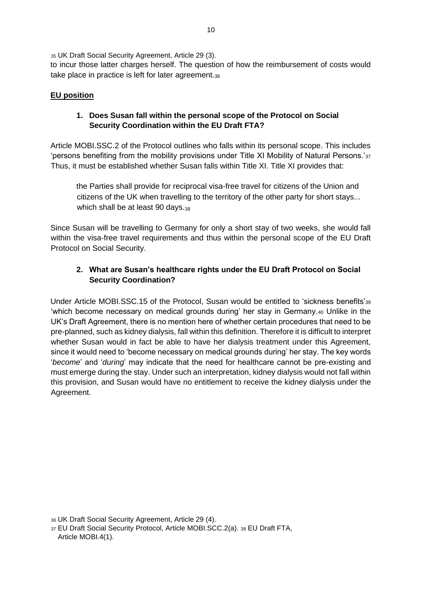<sup>35</sup> UK Draft Social Security Agreement, Article 29 (3).

to incur those latter charges herself. The question of how the reimbursement of costs would take place in practice is left for later agreement.36

## **EU position**

## **1. Does Susan fall within the personal scope of the Protocol on Social Security Coordination within the EU Draft FTA?**

Article MOBI.SSC.2 of the Protocol outlines who falls within its personal scope. This includes 'persons benefiting from the mobility provisions under Title XI Mobility of Natural Persons.'<sup>37</sup> Thus, it must be established whether Susan falls within Title XI. Title XI provides that:

the Parties shall provide for reciprocal visa-free travel for citizens of the Union and citizens of the UK when travelling to the territory of the other party for short stays... which shall be at least 90 days.38

Since Susan will be travelling to Germany for only a short stay of two weeks, she would fall within the visa-free travel requirements and thus within the personal scope of the EU Draft Protocol on Social Security.

# **2. What are Susan's healthcare rights under the EU Draft Protocol on Social Security Coordination?**

Under Article MOBI.SSC.15 of the Protocol, Susan would be entitled to 'sickness benefits'<sup>39</sup> 'which become necessary on medical grounds during' her stay in Germany.<sup>40</sup> Unlike in the UK's Draft Agreement, there is no mention here of whether certain procedures that need to be pre-planned, such as kidney dialysis, fall within this definition. Therefore it is difficult to interpret whether Susan would in fact be able to have her dialysis treatment under this Agreement, since it would need to 'become necessary on medical grounds during' her stay. The key words '*become*' and '*during*' may indicate that the need for healthcare cannot be pre-existing and must emerge during the stay. Under such an interpretation, kidney dialysis would not fall within this provision, and Susan would have no entitlement to receive the kidney dialysis under the Agreement.

<sup>36</sup> UK Draft Social Security Agreement, Article 29 (4).

<sup>37</sup> EU Draft Social Security Protocol, Article MOBI.SCC.2(a). <sup>38</sup> EU Draft FTA, Article MOBI.4(1).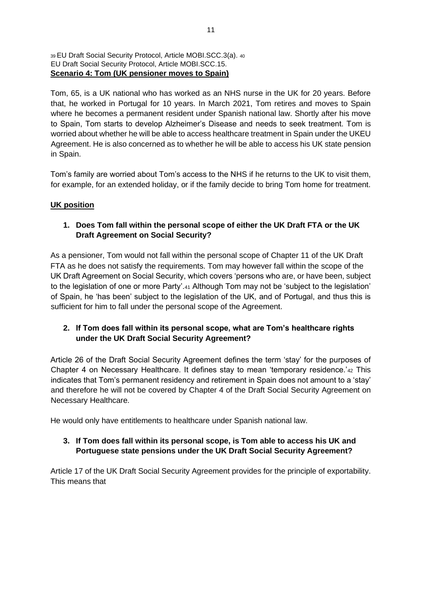#### <sup>39</sup>EU Draft Social Security Protocol, Article MOBI.SCC.3(a). <sup>40</sup> EU Draft Social Security Protocol, Article MOBI.SCC.15. **Scenario 4: Tom (UK pensioner moves to Spain)**

Tom, 65, is a UK national who has worked as an NHS nurse in the UK for 20 years. Before that, he worked in Portugal for 10 years. In March 2021, Tom retires and moves to Spain where he becomes a permanent resident under Spanish national law. Shortly after his move to Spain, Tom starts to develop Alzheimer's Disease and needs to seek treatment. Tom is worried about whether he will be able to access healthcare treatment in Spain under the UKEU Agreement. He is also concerned as to whether he will be able to access his UK state pension in Spain.

Tom's family are worried about Tom's access to the NHS if he returns to the UK to visit them, for example, for an extended holiday, or if the family decide to bring Tom home for treatment.

# **UK position**

## **1. Does Tom fall within the personal scope of either the UK Draft FTA or the UK Draft Agreement on Social Security?**

As a pensioner, Tom would not fall within the personal scope of Chapter 11 of the UK Draft FTA as he does not satisfy the requirements. Tom may however fall within the scope of the UK Draft Agreement on Social Security, which covers 'persons who are, or have been, subject to the legislation of one or more Party'.<sup>41</sup> Although Tom may not be 'subject to the legislation' of Spain, he 'has been' subject to the legislation of the UK, and of Portugal, and thus this is sufficient for him to fall under the personal scope of the Agreement.

# **2. If Tom does fall within its personal scope, what are Tom's healthcare rights under the UK Draft Social Security Agreement?**

Article 26 of the Draft Social Security Agreement defines the term 'stay' for the purposes of Chapter 4 on Necessary Healthcare. It defines stay to mean 'temporary residence.'<sup>42</sup> This indicates that Tom's permanent residency and retirement in Spain does not amount to a 'stay' and therefore he will not be covered by Chapter 4 of the Draft Social Security Agreement on Necessary Healthcare.

He would only have entitlements to healthcare under Spanish national law.

## **3. If Tom does fall within its personal scope, is Tom able to access his UK and Portuguese state pensions under the UK Draft Social Security Agreement?**

Article 17 of the UK Draft Social Security Agreement provides for the principle of exportability. This means that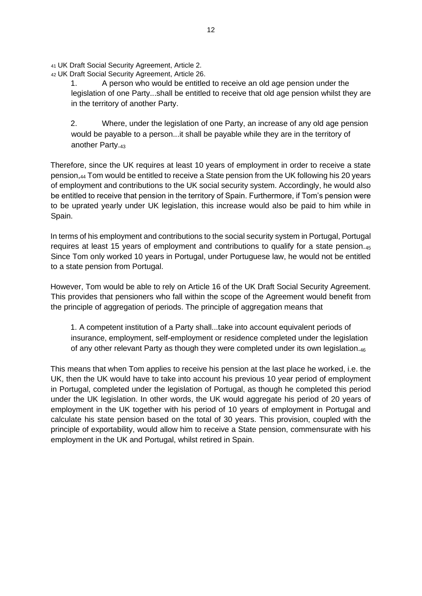<sup>41</sup> UK Draft Social Security Agreement, Article 2.

<sup>42</sup> UK Draft Social Security Agreement, Article 26.

1. A person who would be entitled to receive an old age pension under the legislation of one Party...shall be entitled to receive that old age pension whilst they are in the territory of another Party.

2. Where, under the legislation of one Party, an increase of any old age pension would be payable to a person...it shall be payable while they are in the territory of another Party.<sup>43</sup>

Therefore, since the UK requires at least 10 years of employment in order to receive a state pension,<sup>44</sup> Tom would be entitled to receive a State pension from the UK following his 20 years of employment and contributions to the UK social security system. Accordingly, he would also be entitled to receive that pension in the territory of Spain. Furthermore, if Tom's pension were to be uprated yearly under UK legislation, this increase would also be paid to him while in Spain.

In terms of his employment and contributions to the social security system in Portugal, Portugal requires at least 15 years of employment and contributions to qualify for a state pension.<sup>45</sup> Since Tom only worked 10 years in Portugal, under Portuguese law, he would not be entitled to a state pension from Portugal.

However, Tom would be able to rely on Article 16 of the UK Draft Social Security Agreement. This provides that pensioners who fall within the scope of the Agreement would benefit from the principle of aggregation of periods. The principle of aggregation means that

1. A competent institution of a Party shall...take into account equivalent periods of insurance, employment, self-employment or residence completed under the legislation of any other relevant Party as though they were completed under its own legislation.<sup>46</sup>

This means that when Tom applies to receive his pension at the last place he worked, i.e. the UK, then the UK would have to take into account his previous 10 year period of employment in Portugal, completed under the legislation of Portugal, as though he completed this period under the UK legislation. In other words, the UK would aggregate his period of 20 years of employment in the UK together with his period of 10 years of employment in Portugal and calculate his state pension based on the total of 30 years. This provision, coupled with the principle of exportability, would allow him to receive a State pension, commensurate with his employment in the UK and Portugal, whilst retired in Spain.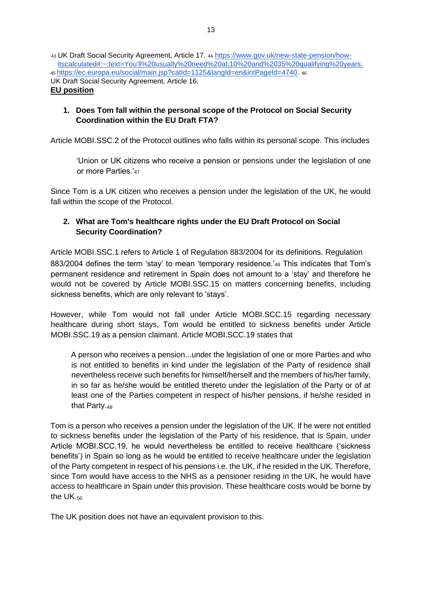<sup>43</sup> UK Draft Social Security Agreement, Article 17. <sup>44</sup> [https://www.gov.uk/new-state-pension/how](https://www.gov.uk/new-state-pension/how-its-calculated#:~:text=You)[itscalculated#:~:text=You'll%20usually%20need%20at,10%20and%2035%20qualifying%20years.](https://www.gov.uk/new-state-pension/how-its-calculated#:~:text=You) <sup>45</sup>[https://ec.europa.eu/social/main.jsp?catId=1125&langId=en&intPageId=4740.](https://ec.europa.eu/social/main.jsp?catId=1125&langId=en&intPageId=4740) <sup>46</sup> UK Draft Social Security Agreement, Article 16. **EU position**

## **1. Does Tom fall within the personal scope of the Protocol on Social Security Coordination within the EU Draft FTA?**

Article MOBI.SSC.2 of the Protocol outlines who falls within its personal scope. This includes

'Union or UK citizens who receive a pension or pensions under the legislation of one or more Parties.'<sup>47</sup>

Since Tom is a UK citizen who receives a pension under the legislation of the UK, he would fall within the scope of the Protocol.

## **2. What are Tom's healthcare rights under the EU Draft Protocol on Social Security Coordination?**

Article MOBI.SSC.1 refers to Article 1 of Regulation 883/2004 for its definitions. Regulation 883/2004 defines the term 'stay' to mean 'temporary residence.'<sub>48</sub> This indicates that Tom's permanent residence and retirement in Spain does not amount to a 'stay' and therefore he would not be covered by Article MOBI.SSC.15 on matters concerning benefits, including sickness benefits, which are only relevant to 'stays'.

However, while Tom would not fall under Article MOBI.SCC.15 regarding necessary healthcare during short stays, Tom would be entitled to sickness benefits under Article MOBI.SSC.19 as a pension claimant. Article MOBI.SCC.19 states that

A person who receives a pension...under the legislation of one or more Parties and who is not entitled to benefits in kind under the legislation of the Party of residence shall nevertheless receive such benefits for himself/herself and the members of his/her family, in so far as he/she would be entitled thereto under the legislation of the Party or of at least one of the Parties competent in respect of his/her pensions, if he/she resided in that Party.<sup>49</sup>

Tom is a person who receives a pension under the legislation of the UK. If he were not entitled to sickness benefits under the legislation of the Party of his residence, that is Spain, under Article MOBI.SCC.19, he would nevertheless be entitled to receive healthcare ('sickness benefits') in Spain so long as he would be entitled to receive healthcare under the legislation of the Party competent in respect of his pensions i.e. the UK, if he resided in the UK. Therefore, since Tom would have access to the NHS as a pensioner residing in the UK, he would have access to healthcare in Spain under this provision. These healthcare costs would be borne by the UK.<sub>50</sub>

The UK position does not have an equivalent provision to this.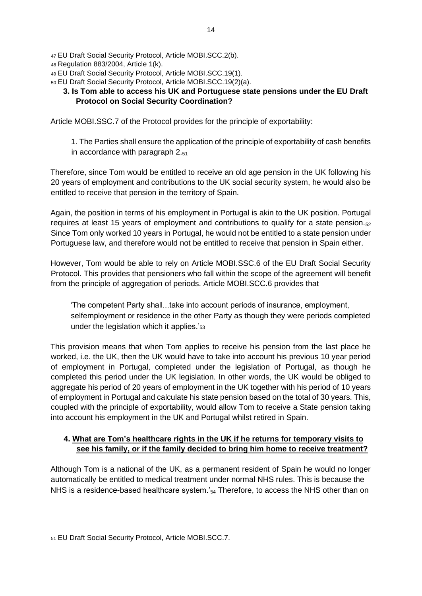- <sup>47</sup> EU Draft Social Security Protocol, Article MOBI.SCC.2(b).
- <sup>48</sup> Regulation 883/2004, Article 1(k).
- <sup>49</sup> EU Draft Social Security Protocol, Article MOBI.SCC.19(1).
- <sup>50</sup> EU Draft Social Security Protocol, Article MOBI.SCC.19(2)(a).

### **3. Is Tom able to access his UK and Portuguese state pensions under the EU Draft Protocol on Social Security Coordination?**

Article MOBI.SSC.7 of the Protocol provides for the principle of exportability:

1. The Parties shall ensure the application of the principle of exportability of cash benefits in accordance with paragraph 2.<sup>51</sup>

Therefore, since Tom would be entitled to receive an old age pension in the UK following his 20 years of employment and contributions to the UK social security system, he would also be entitled to receive that pension in the territory of Spain.

Again, the position in terms of his employment in Portugal is akin to the UK position. Portugal requires at least 15 years of employment and contributions to qualify for a state pension. $52$ Since Tom only worked 10 years in Portugal, he would not be entitled to a state pension under Portuguese law, and therefore would not be entitled to receive that pension in Spain either.

However, Tom would be able to rely on Article MOBI.SSC.6 of the EU Draft Social Security Protocol. This provides that pensioners who fall within the scope of the agreement will benefit from the principle of aggregation of periods. Article MOBI.SCC.6 provides that

'The competent Party shall...take into account periods of insurance, employment, selfemployment or residence in the other Party as though they were periods completed under the legislation which it applies.'<sup>53</sup>

This provision means that when Tom applies to receive his pension from the last place he worked, i.e. the UK, then the UK would have to take into account his previous 10 year period of employment in Portugal, completed under the legislation of Portugal, as though he completed this period under the UK legislation. In other words, the UK would be obliged to aggregate his period of 20 years of employment in the UK together with his period of 10 years of employment in Portugal and calculate his state pension based on the total of 30 years. This, coupled with the principle of exportability, would allow Tom to receive a State pension taking into account his employment in the UK and Portugal whilst retired in Spain.

## **4. What are Tom's healthcare rights in the UK if he returns for temporary visits to see his family, or if the family decided to bring him home to receive treatment?**

Although Tom is a national of the UK, as a permanent resident of Spain he would no longer automatically be entitled to medical treatment under normal NHS rules. This is because the NHS is a residence-based healthcare system.' $_{54}$  Therefore, to access the NHS other than on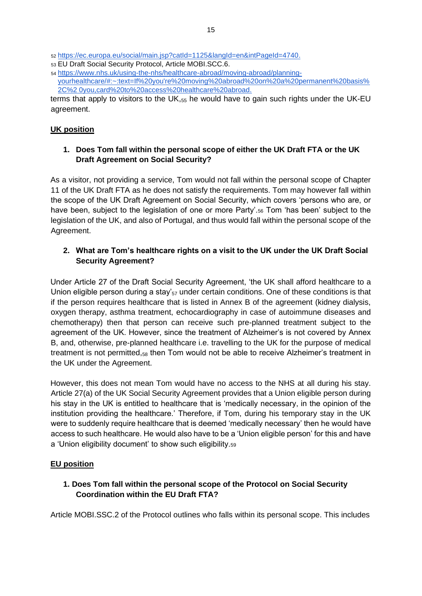<sup>52</sup> [https://ec.europa.eu/social/main.jsp?catId=1125&langId=en&intPageId=4740.](https://ec.europa.eu/social/main.jsp?catId=1125&langId=en&intPageId=4740)

- <sup>53</sup> EU Draft Social Security Protocol, Article MOBI.SCC.6.
- <sup>54</sup> [https://www.nhs.uk/using-the-nhs/healthcare-abroad/moving-abroad/planning](https://www.nhs.uk/using-the-nhs/healthcare-abroad/moving-abroad/planning-your-healthcare/#:~:text=If%20you)[yourhealthcare/#:~:text=If%20you're%20moving%20abroad%20on%20a%20permanent%20basis%](https://www.nhs.uk/using-the-nhs/healthcare-abroad/moving-abroad/planning-your-healthcare/#:~:text=If%20you) [2C%2 0you,card%20to%20access%20healthcare%20abroad.](https://www.nhs.uk/using-the-nhs/healthcare-abroad/moving-abroad/planning-your-healthcare/#:~:text=If%20you)

terms that apply to visitors to the UK, $_{55}$  he would have to gain such rights under the UK-EU agreement.

### **UK position**

## **1. Does Tom fall within the personal scope of either the UK Draft FTA or the UK Draft Agreement on Social Security?**

As a visitor, not providing a service, Tom would not fall within the personal scope of Chapter 11 of the UK Draft FTA as he does not satisfy the requirements. Tom may however fall within the scope of the UK Draft Agreement on Social Security, which covers 'persons who are, or have been, subject to the legislation of one or more Party'.<sup>56</sup> Tom 'has been' subject to the legislation of the UK, and also of Portugal, and thus would fall within the personal scope of the Agreement.

## **2. What are Tom's healthcare rights on a visit to the UK under the UK Draft Social Security Agreement?**

Under Article 27 of the Draft Social Security Agreement, 'the UK shall afford healthcare to a Union eligible person during a stay' $_{57}$  under certain conditions. One of these conditions is that if the person requires healthcare that is listed in Annex B of the agreement (kidney dialysis, oxygen therapy, asthma treatment, echocardiography in case of autoimmune diseases and chemotherapy) then that person can receive such pre-planned treatment subject to the agreement of the UK. However, since the treatment of Alzheimer's is not covered by Annex B, and, otherwise, pre-planned healthcare i.e. travelling to the UK for the purpose of medical treatment is not permitted, $_{58}$  then Tom would not be able to receive Alzheimer's treatment in the UK under the Agreement.

However, this does not mean Tom would have no access to the NHS at all during his stay. Article 27(a) of the UK Social Security Agreement provides that a Union eligible person during his stay in the UK is entitled to healthcare that is 'medically necessary, in the opinion of the institution providing the healthcare.' Therefore, if Tom, during his temporary stay in the UK were to suddenly require healthcare that is deemed 'medically necessary' then he would have access to such healthcare. He would also have to be a 'Union eligible person' for this and have a 'Union eligibility document' to show such eligibility.<sup>59</sup>

## **EU position**

**1. Does Tom fall within the personal scope of the Protocol on Social Security Coordination within the EU Draft FTA?** 

Article MOBI.SSC.2 of the Protocol outlines who falls within its personal scope. This includes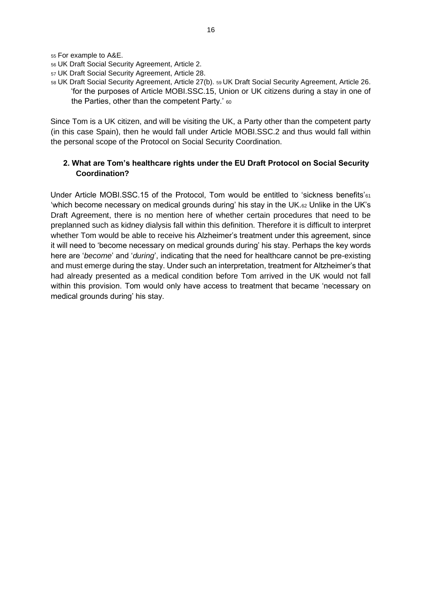<sup>55</sup> For example to A&E.

- <sup>56</sup> UK Draft Social Security Agreement, Article 2.
- <sup>57</sup> UK Draft Social Security Agreement, Article 28.
- <sup>58</sup> UK Draft Social Security Agreement, Article 27(b). 59 UK Draft Social Security Agreement, Article 26. 'for the purposes of Article MOBI.SSC.15, Union or UK citizens during a stay in one of the Parties, other than the competent Party.' 60

Since Tom is a UK citizen, and will be visiting the UK, a Party other than the competent party (in this case Spain), then he would fall under Article MOBI.SSC.2 and thus would fall within the personal scope of the Protocol on Social Security Coordination.

### **2. What are Tom's healthcare rights under the EU Draft Protocol on Social Security Coordination?**

Under Article MOBI.SSC.15 of the Protocol, Tom would be entitled to 'sickness benefits'<sup>61</sup> 'which become necessary on medical grounds during' his stay in the UK.<sup>62</sup> Unlike in the UK's Draft Agreement, there is no mention here of whether certain procedures that need to be preplanned such as kidney dialysis fall within this definition. Therefore it is difficult to interpret whether Tom would be able to receive his Alzheimer's treatment under this agreement, since it will need to 'become necessary on medical grounds during' his stay. Perhaps the key words here are '*become*' and '*during*', indicating that the need for healthcare cannot be pre-existing and must emerge during the stay. Under such an interpretation, treatment for Altzheimer's that had already presented as a medical condition before Tom arrived in the UK would not fall within this provision. Tom would only have access to treatment that became 'necessary on medical grounds during' his stay.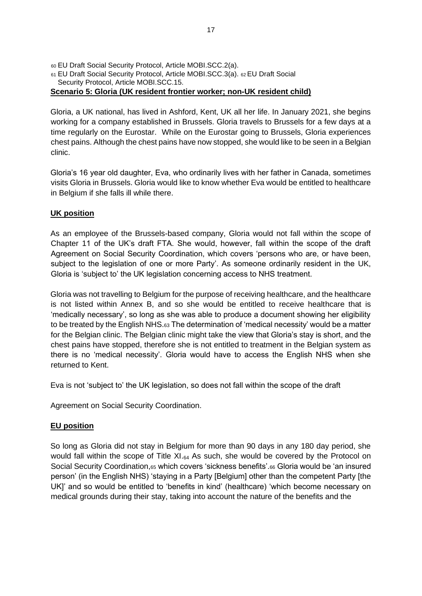<sup>60</sup> EU Draft Social Security Protocol, Article MOBI.SCC.2(a). <sup>61</sup> EU Draft Social Security Protocol, Article MOBI.SCC.3(a). 62 EU Draft Social Security Protocol, Article MOBI.SCC.15. **Scenario 5: Gloria (UK resident frontier worker; non-UK resident child)** 

Gloria, a UK national, has lived in Ashford, Kent, UK all her life. In January 2021, she begins working for a company established in Brussels. Gloria travels to Brussels for a few days at a time regularly on the Eurostar. While on the Eurostar going to Brussels, Gloria experiences chest pains. Although the chest pains have now stopped, she would like to be seen in a Belgian clinic.

Gloria's 16 year old daughter, Eva, who ordinarily lives with her father in Canada, sometimes visits Gloria in Brussels. Gloria would like to know whether Eva would be entitled to healthcare in Belgium if she falls ill while there.

## **UK position**

As an employee of the Brussels-based company, Gloria would not fall within the scope of Chapter 11 of the UK's draft FTA. She would, however, fall within the scope of the draft Agreement on Social Security Coordination, which covers 'persons who are, or have been, subject to the legislation of one or more Party'. As someone ordinarily resident in the UK, Gloria is 'subject to' the UK legislation concerning access to NHS treatment.

Gloria was not travelling to Belgium for the purpose of receiving healthcare, and the healthcare is not listed within Annex B, and so she would be entitled to receive healthcare that is 'medically necessary', so long as she was able to produce a document showing her eligibility to be treated by the English NHS. $63$  The determination of 'medical necessity' would be a matter for the Belgian clinic. The Belgian clinic might take the view that Gloria's stay is short, and the chest pains have stopped, therefore she is not entitled to treatment in the Belgian system as there is no 'medical necessity'. Gloria would have to access the English NHS when she returned to Kent.

Eva is not 'subject to' the UK legislation, so does not fall within the scope of the draft

Agreement on Social Security Coordination.

## **EU position**

So long as Gloria did not stay in Belgium for more than 90 days in any 180 day period, she would fall within the scope of Title  $XI_{64}$  As such, she would be covered by the Protocol on Social Security Coordination,<sup>65</sup> which covers 'sickness benefits'.<sup>66</sup> Gloria would be 'an insured person' (in the English NHS) 'staying in a Party [Belgium] other than the competent Party [the UK]' and so would be entitled to 'benefits in kind' (healthcare) 'which become necessary on medical grounds during their stay, taking into account the nature of the benefits and the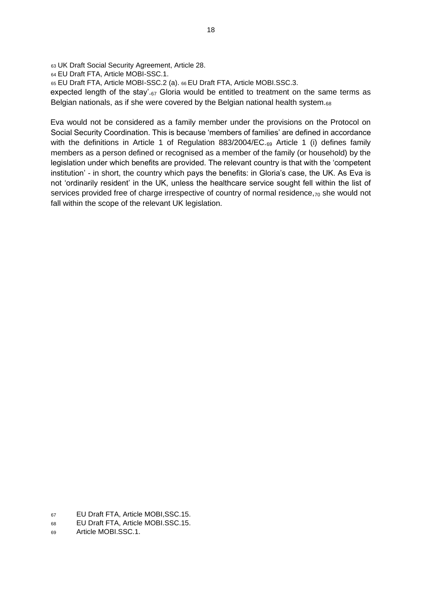<sup>63</sup> UK Draft Social Security Agreement, Article 28.

<sup>64</sup> EU Draft FTA, Article MOBI-SSC.1.

<sup>65</sup> EU Draft FTA, Article MOBI-SSC.2 (a). 66 EU Draft FTA, Article MOBI.SSC.3.

expected length of the stay'.<sup>67</sup> Gloria would be entitled to treatment on the same terms as Belgian nationals, as if she were covered by the Belgian national health system.<sub>68</sub>

Eva would not be considered as a family member under the provisions on the Protocol on Social Security Coordination. This is because 'members of families' are defined in accordance with the definitions in Article 1 of Regulation  $883/2004/EC_{.69}$  Article 1 (i) defines family members as a person defined or recognised as a member of the family (or household) by the legislation under which benefits are provided. The relevant country is that with the 'competent institution' - in short, the country which pays the benefits: in Gloria's case, the UK. As Eva is not 'ordinarily resident' in the UK, unless the healthcare service sought fell within the list of services provided free of charge irrespective of country of normal residence,  $70$  she would not fall within the scope of the relevant UK legislation.

<sup>67</sup> EU Draft FTA, Article MOBI,SSC.15.

<sup>68</sup> EU Draft FTA, Article MOBI.SSC.15.

<sup>69</sup> Article MOBI.SSC.1.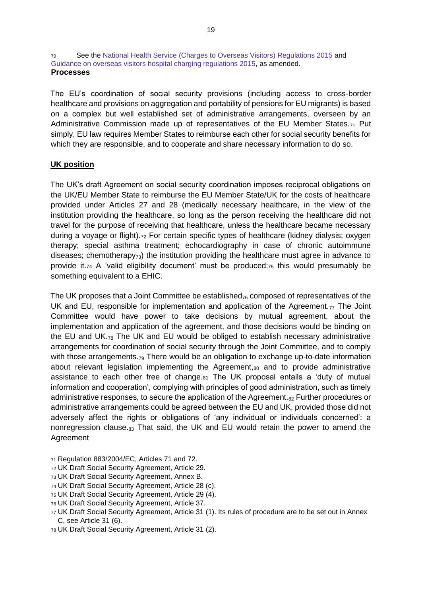<sup>70</sup> See the [National Health Service \(Charges to Overseas Visitors\) Regulations 2015](http://www.legislation.gov.uk/uksi/2017/756/contents/made) [a](http://www.legislation.gov.uk/uksi/2017/756/contents/made)nd [Guidance on](https://www.gov.uk/government/publications/guidance-on-overseas-visitors-hospital-charging-regulations) [overseas visitors hospital charging regulations 2015,](https://www.gov.uk/government/publications/guidance-on-overseas-visitors-hospital-charging-regulations) as amended. **Processes** 

The EU's coordination of social security provisions (including access to cross-border healthcare and provisions on aggregation and portability of pensions for EU migrants) is based on a complex but well established set of administrative arrangements, overseen by an Administrative Commission made up of representatives of the EU Member States. $_{71}$  Put simply, EU law requires Member States to reimburse each other for social security benefits for which they are responsible, and to cooperate and share necessary information to do so.

### **UK position**

The UK's draft Agreement on social security coordination imposes reciprocal obligations on the UK/EU Member State to reimburse the EU Member State/UK for the costs of healthcare provided under Articles 27 and 28 (medically necessary healthcare, in the view of the institution providing the healthcare, so long as the person receiving the healthcare did not travel for the purpose of receiving that healthcare, unless the healthcare became necessary during a voyage or flight).<sup>72</sup> For certain specific types of healthcare (kidney dialysis; oxygen therapy; special asthma treatment; echocardiography in case of chronic autoimmune diseases; chemotherapy $_{73}$ ) the institution providing the healthcare must agree in advance to provide it.<sup>74</sup> A 'valid eligibility document' must be produced:<sup>75</sup> this would presumably be something equivalent to a EHIC.

The UK proposes that a Joint Committee be established $_{76}$  composed of representatives of the UK and EU, responsible for implementation and application of the Agreement. $_{77}$  The Joint Committee would have power to take decisions by mutual agreement, about the implementation and application of the agreement, and those decisions would be binding on the EU and UK.<sup>78</sup> The UK and EU would be obliged to establish necessary administrative arrangements for coordination of social security through the Joint Committee, and to comply with those arrangements.<sub>79</sub> There would be an obligation to exchange up-to-date information about relevant legislation implementing the Agreement, $80$  and to provide administrative assistance to each other free of change.<sup>81</sup> The UK proposal entails a 'duty of mutual information and cooperation', complying with principles of good administration, such as timely administrative responses, to secure the application of the Agreement. $_{82}$  Further procedures or administrative arrangements could be agreed between the EU and UK, provided those did not adversely affect the rights or obligations of 'any individual or individuals concerned': a nonregression clause.<sup>83</sup> That said, the UK and EU would retain the power to amend the Agreement

- <sup>71</sup> Regulation 883/2004/EC, Articles 71 and 72.
- <sup>72</sup> UK Draft Social Security Agreement, Article 29.
- <sup>73</sup> UK Draft Social Security Agreement, Annex B.
- <sup>74</sup> UK Draft Social Security Agreement, Article 28 (c).
- <sup>75</sup> UK Draft Social Security Agreement, Article 29 (4).
- <sup>76</sup> UK Draft Social Security Agreement, Article 37.
- <sup>77</sup> UK Draft Social Security Agreement, Article 31 (1). Its rules of procedure are to be set out in Annex C, see Article 31 (6).
- <sup>78</sup> UK Draft Social Security Agreement, Article 31 (2).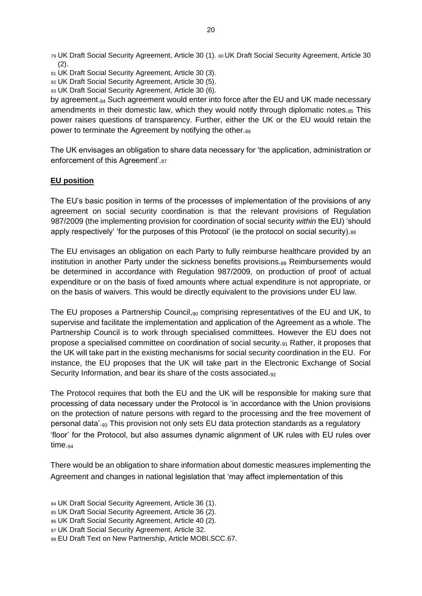- <sup>81</sup> UK Draft Social Security Agreement, Article 30 (3).
- 82 UK Draft Social Security Agreement, Article 30 (5).
- 83 UK Draft Social Security Agreement, Article 30 (6).

by agreement.<sub>84</sub> Such agreement would enter into force after the EU and UK made necessary amendments in their domestic law, which they would notify through diplomatic notes. $85$  This power raises questions of transparency. Further, either the UK or the EU would retain the power to terminate the Agreement by notifying the other.86

The UK envisages an obligation to share data necessary for 'the application, administration or enforcement of this Agreement'.<sup>87</sup>

#### **EU position**

The EU's basic position in terms of the processes of implementation of the provisions of any agreement on social security coordination is that the relevant provisions of Regulation 987/2009 (the implementing provision for coordination of social security *within* the EU) 'should apply respectively' 'for the purposes of this Protocol' (ie the protocol on social security).88

The EU envisages an obligation on each Party to fully reimburse healthcare provided by an institution in another Party under the sickness benefits provisions.89 Reimbursements would be determined in accordance with Regulation 987/2009, on production of proof of actual expenditure or on the basis of fixed amounts where actual expenditure is not appropriate, or on the basis of waivers. This would be directly equivalent to the provisions under EU law.

The EU proposes a Partnership Council,  $90$  comprising representatives of the EU and UK, to supervise and facilitate the implementation and application of the Agreement as a whole. The Partnership Council is to work through specialised committees. However the EU does not propose a specialised committee on coordination of social security.<sub>91</sub> Rather, it proposes that the UK will take part in the existing mechanisms for social security coordination in the EU. For instance, the EU proposes that the UK will take part in the Electronic Exchange of Social Security Information, and bear its share of the costs associated.<sub>92</sub>

The Protocol requires that both the EU and the UK will be responsible for making sure that processing of data necessary under the Protocol is 'in accordance with the Union provisions on the protection of nature persons with regard to the processing and the free movement of personal data'.<sup>93</sup> This provision not only sets EU data protection standards as a regulatory 'floor' for the Protocol, but also assumes dynamic alignment of UK rules with EU rules over time.<sub>94</sub>

There would be an obligation to share information about domestic measures implementing the Agreement and changes in national legislation that 'may affect implementation of this

<sup>79</sup> UK Draft Social Security Agreement, Article 30 (1). 80 UK Draft Social Security Agreement, Article 30  $(2).$ 

<sup>84</sup> UK Draft Social Security Agreement, Article 36 (1).

<sup>85</sup> UK Draft Social Security Agreement, Article 36 (2).

<sup>86</sup> UK Draft Social Security Agreement, Article 40 (2).

<sup>87</sup> UK Draft Social Security Agreement, Article 32.

<sup>88</sup> EU Draft Text on New Partnership, Article MOBI.SCC.67.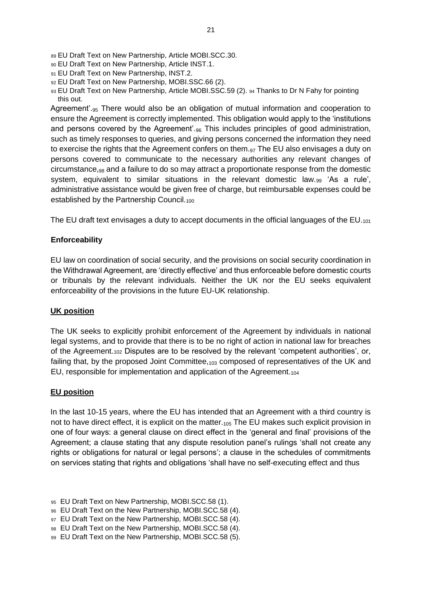- <sup>89</sup> EU Draft Text on New Partnership, Article MOBI.SCC.30.
- <sup>90</sup> EU Draft Text on New Partnership, Article INST.1.
- 91 EU Draft Text on New Partnership, INST.2.
- 92 EU Draft Text on New Partnership, MOBI.SSC.66 (2).
- 93 EU Draft Text on New Partnership, Article MOBI.SSC.59 (2). 94 Thanks to Dr N Fahy for pointing this out.

Agreement'.<sub>95</sub> There would also be an obligation of mutual information and cooperation to ensure the Agreement is correctly implemented. This obligation would apply to the 'institutions and persons covered by the Agreement'.<sup>96</sup> This includes principles of good administration, such as timely responses to queries, and giving persons concerned the information they need to exercise the rights that the Agreement confers on them. $97$  The EU also envisages a duty on persons covered to communicate to the necessary authorities any relevant changes of circumstance,<sup>98</sup> and a failure to do so may attract a proportionate response from the domestic system, equivalent to similar situations in the relevant domestic law.<sup>99</sup> 'As a rule', administrative assistance would be given free of charge, but reimbursable expenses could be established by the Partnership Council.<sub>100</sub>

The EU draft text envisages a duty to accept documents in the official languages of the  $EU_{101}$ 

### **Enforceability**

EU law on coordination of social security, and the provisions on social security coordination in the Withdrawal Agreement, are 'directly effective' and thus enforceable before domestic courts or tribunals by the relevant individuals. Neither the UK nor the EU seeks equivalent enforceability of the provisions in the future EU-UK relationship.

### **UK position**

The UK seeks to explicitly prohibit enforcement of the Agreement by individuals in national legal systems, and to provide that there is to be no right of action in national law for breaches of the Agreement.<sup>102</sup> Disputes are to be resolved by the relevant 'competent authorities', or, failing that, by the proposed Joint Committee, 103 composed of representatives of the UK and EU, responsible for implementation and application of the Agreement.<sup>104</sup>

### **EU position**

In the last 10-15 years, where the EU has intended that an Agreement with a third country is not to have direct effect, it is explicit on the matter.<sub>105</sub> The EU makes such explicit provision in one of four ways: a general clause on direct effect in the 'general and final' provisions of the Agreement; a clause stating that any dispute resolution panel's rulings 'shall not create any rights or obligations for natural or legal persons'; a clause in the schedules of commitments on services stating that rights and obligations 'shall have no self-executing effect and thus

- <sup>96</sup> EU Draft Text on the New Partnership, MOBI.SCC.58 (4).
- 97 EU Draft Text on the New Partnership, MOBI.SCC.58 (4).
- 98 EU Draft Text on the New Partnership, MOBI.SCC.58 (4).
- 99 EU Draft Text on the New Partnership, MOBI.SCC.58 (5).

<sup>95</sup> EU Draft Text on New Partnership, MOBI.SCC.58 (1).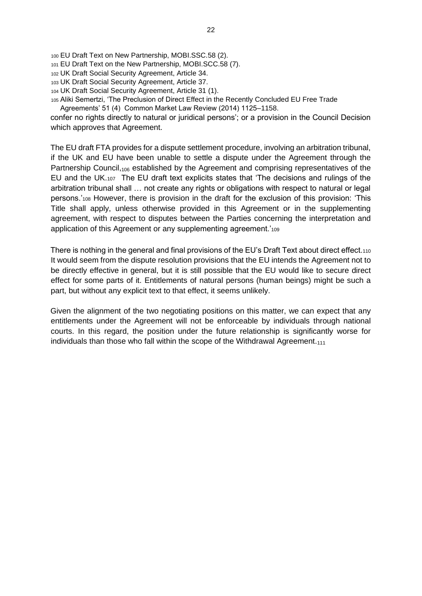- <sup>100</sup> EU Draft Text on New Partnership, MOBI.SSC.58 (2).
- <sup>101</sup> EU Draft Text on the New Partnership, MOBI.SCC.58 (7).
- <sup>102</sup> UK Draft Social Security Agreement, Article 34.
- <sup>103</sup> UK Draft Social Security Agreement, Article 37.
- <sup>104</sup> UK Draft Social Security Agreement, Article 31 (1).
- <sup>105</sup> Aliki Semertzi, 'The Preclusion of Direct Effect in the Recently Concluded EU Free Trade Agreements' 51 (4) Common Market Law Review (2014) 1125–1158.

confer no rights directly to natural or juridical persons'; or a provision in the Council Decision which approves that Agreement.

The EU draft FTA provides for a dispute settlement procedure, involving an arbitration tribunal, if the UK and EU have been unable to settle a dispute under the Agreement through the Partnership Council,<sup>106</sup> established by the Agreement and comprising representatives of the EU and the UK.107 The EU draft text explicits states that 'The decisions and rulings of the arbitration tribunal shall … not create any rights or obligations with respect to natural or legal persons.'<sup>108</sup> However, there is provision in the draft for the exclusion of this provision: 'This Title shall apply, unless otherwise provided in this Agreement or in the supplementing agreement, with respect to disputes between the Parties concerning the interpretation and application of this Agreement or any supplementing agreement.<sup>109</sup>

There is nothing in the general and final provisions of the EU's Draft Text about direct effect.<sup>110</sup> It would seem from the dispute resolution provisions that the EU intends the Agreement not to be directly effective in general, but it is still possible that the EU would like to secure direct effect for some parts of it. Entitlements of natural persons (human beings) might be such a part, but without any explicit text to that effect, it seems unlikely.

Given the alignment of the two negotiating positions on this matter, we can expect that any entitlements under the Agreement will not be enforceable by individuals through national courts. In this regard, the position under the future relationship is significantly worse for individuals than those who fall within the scope of the Withdrawal Agreement. $1111$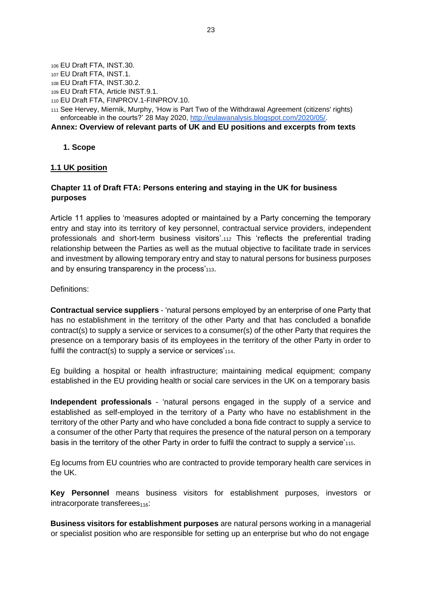<sup>106</sup> EU Draft FTA, INST.30.

- <sup>107</sup> EU Draft FTA, INST.1.
- <sup>108</sup> EU Draft FTA, INST.30.2.
- <sup>109</sup> EU Draft FTA, Article INST.9.1.
- <sup>110</sup> EU Draft FTA, FINPROV.1-FINPROV.10.
- <sup>111</sup> See Hervey, Miernik, Murphy, ['How is Part Two of the Withdrawal Agreement \(citizens' rights\)](http://eulawanalysis.blogspot.com/2020/05/how-is-part-two-of-withdrawal-agreement.html)  [enforceable in the courts?' 2](http://eulawanalysis.blogspot.com/2020/05/how-is-part-two-of-withdrawal-agreement.html)8 May 2020, [http://eulawanalysis.blogspot.com/2020/05/.](http://eulawanalysis.blogspot.com/2020/05/)

**Annex: Overview of relevant parts of UK and EU positions and excerpts from texts** 

**1. Scope** 

#### **1.1 UK position**

## **Chapter 11 of Draft FTA: Persons entering and staying in the UK for business purposes**

Article 11 applies to 'measures adopted or maintained by a Party concerning the temporary entry and stay into its territory of key personnel, contractual service providers, independent professionals and short-term business visitors'.<sup>112</sup> This 'reflects the preferential trading relationship between the Parties as well as the mutual objective to facilitate trade in services and investment by allowing temporary entry and stay to natural persons for business purposes and by ensuring transparency in the process'<sub>113</sub>.

Definitions:

**Contractual service suppliers** - 'natural persons employed by an enterprise of one Party that has no establishment in the territory of the other Party and that has concluded a bonafide contract(s) to supply a service or services to a consumer(s) of the other Party that requires the presence on a temporary basis of its employees in the territory of the other Party in order to fulfil the contract(s) to supply a service or services'<sub>114</sub>.

Eg building a hospital or health infrastructure; maintaining medical equipment; company established in the EU providing health or social care services in the UK on a temporary basis

**Independent professionals** - 'natural persons engaged in the supply of a service and established as self-employed in the territory of a Party who have no establishment in the territory of the other Party and who have concluded a bona fide contract to supply a service to a consumer of the other Party that requires the presence of the natural person on a temporary basis in the territory of the other Party in order to fulfil the contract to supply a service'115.

Eg locums from EU countries who are contracted to provide temporary health care services in the UK.

**Key Personnel** means business visitors for establishment purposes, investors or  $interactions$  intracorporate transferees $_{116}$ :

**Business visitors for establishment purposes** are natural persons working in a managerial or specialist position who are responsible for setting up an enterprise but who do not engage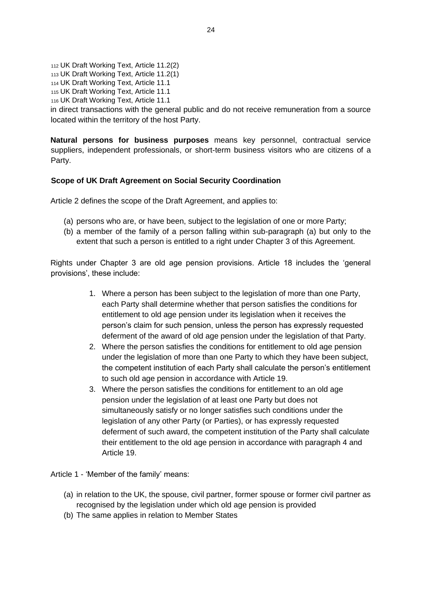<sup>112</sup> UK Draft Working Text, Article 11.2(2)

<sup>113</sup> UK Draft Working Text, Article 11.2(1)

<sup>114</sup> UK Draft Working Text, Article 11.1

<sup>115</sup> UK Draft Working Text, Article 11.1

<sup>116</sup> UK Draft Working Text, Article 11.1

in direct transactions with the general public and do not receive remuneration from a source located within the territory of the host Party.

**Natural persons for business purposes** means key personnel, contractual service suppliers, independent professionals, or short-term business visitors who are citizens of a Party.

## **Scope of UK Draft Agreement on Social Security Coordination**

Article 2 defines the scope of the Draft Agreement, and applies to:

- (a) persons who are, or have been, subject to the legislation of one or more Party;
- (b) a member of the family of a person falling within sub-paragraph (a) but only to the extent that such a person is entitled to a right under Chapter 3 of this Agreement.

Rights under Chapter 3 are old age pension provisions. Article 18 includes the 'general provisions', these include:

- 1. Where a person has been subject to the legislation of more than one Party, each Party shall determine whether that person satisfies the conditions for entitlement to old age pension under its legislation when it receives the person's claim for such pension, unless the person has expressly requested deferment of the award of old age pension under the legislation of that Party.
- 2. Where the person satisfies the conditions for entitlement to old age pension under the legislation of more than one Party to which they have been subject, the competent institution of each Party shall calculate the person's entitlement to such old age pension in accordance with Article 19.
- 3. Where the person satisfies the conditions for entitlement to an old age pension under the legislation of at least one Party but does not simultaneously satisfy or no longer satisfies such conditions under the legislation of any other Party (or Parties), or has expressly requested deferment of such award, the competent institution of the Party shall calculate their entitlement to the old age pension in accordance with paragraph 4 and Article 19.

Article 1 - 'Member of the family' means:

- (a) in relation to the UK, the spouse, civil partner, former spouse or former civil partner as recognised by the legislation under which old age pension is provided
- (b) The same applies in relation to Member States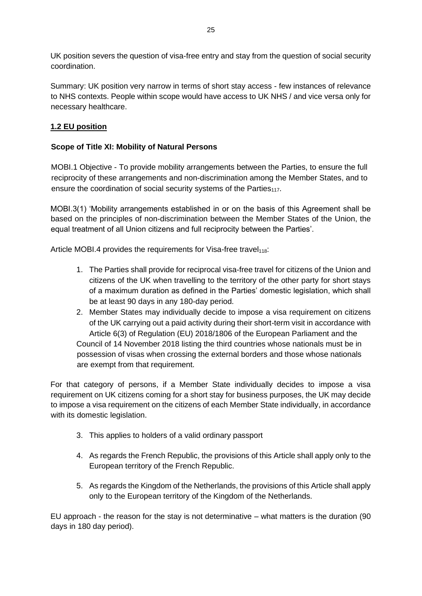UK position severs the question of visa-free entry and stay from the question of social security coordination.

Summary: UK position very narrow in terms of short stay access - few instances of relevance to NHS contexts. People within scope would have access to UK NHS / and vice versa only for necessary healthcare.

# **1.2 EU position**

## **Scope of Title XI: Mobility of Natural Persons**

MOBI.1 Objective - To provide mobility arrangements between the Parties, to ensure the full reciprocity of these arrangements and non-discrimination among the Member States, and to ensure the coordination of social security systems of the Parties $_{117}$ .

MOBI.3(1) 'Mobility arrangements established in or on the basis of this Agreement shall be based on the principles of non-discrimination between the Member States of the Union, the equal treatment of all Union citizens and full reciprocity between the Parties'.

Article MOBI.4 provides the requirements for Visa-free travel $_{118}$ :

- 1. The Parties shall provide for reciprocal visa-free travel for citizens of the Union and citizens of the UK when travelling to the territory of the other party for short stays of a maximum duration as defined in the Parties' domestic legislation, which shall be at least 90 days in any 180-day period.
- 2. Member States may individually decide to impose a visa requirement on citizens of the UK carrying out a paid activity during their short-term visit in accordance with Article 6(3) of Regulation (EU) 2018/1806 of the European Parliament and the Council of 14 November 2018 listing the third countries whose nationals must be in possession of visas when crossing the external borders and those whose nationals are exempt from that requirement.

For that category of persons, if a Member State individually decides to impose a visa requirement on UK citizens coming for a short stay for business purposes, the UK may decide to impose a visa requirement on the citizens of each Member State individually, in accordance with its domestic legislation.

- 3. This applies to holders of a valid ordinary passport
- 4. As regards the French Republic, the provisions of this Article shall apply only to the European territory of the French Republic.
- 5. As regards the Kingdom of the Netherlands, the provisions of this Article shall apply only to the European territory of the Kingdom of the Netherlands.

EU approach - the reason for the stay is not determinative – what matters is the duration (90 days in 180 day period).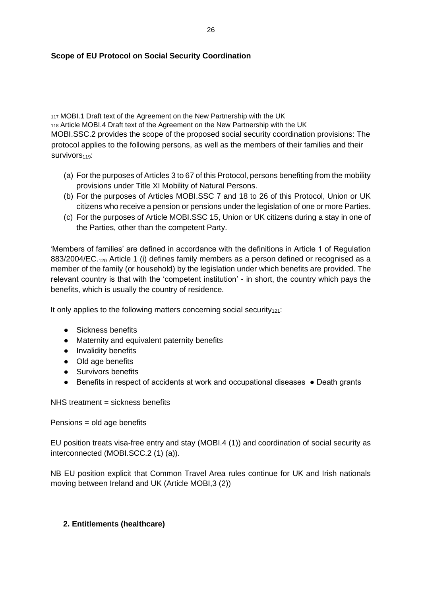### **Scope of EU Protocol on Social Security Coordination**

117 MOBI.1 Draft text of the Agreement on the New Partnership with the UK <sup>118</sup> Article MOBI.4 Draft text of the Agreement on the New Partnership with the UK MOBI.SSC.2 provides the scope of the proposed social security coordination provisions: The protocol applies to the following persons, as well as the members of their families and their Survivors<sub>119</sub>:

- (a) For the purposes of Articles 3 to 67 of this Protocol, persons benefiting from the mobility provisions under Title XI Mobility of Natural Persons.
- (b) For the purposes of Articles MOBI.SSC 7 and 18 to 26 of this Protocol, Union or UK citizens who receive a pension or pensions under the legislation of one or more Parties.
- (c) For the purposes of Article MOBI.SSC 15, Union or UK citizens during a stay in one of the Parties, other than the competent Party.

'Members of families' are defined in accordance with the definitions in Article 1 of Regulation 883/2004/EC.<sub>120</sub> Article 1 (i) defines family members as a person defined or recognised as a member of the family (or household) by the legislation under which benefits are provided. The relevant country is that with the 'competent institution' - in short, the country which pays the benefits, which is usually the country of residence.

It only applies to the following matters concerning social security $_{121}$ :

- Sickness benefits
- Maternity and equivalent paternity benefits
- Invalidity benefits
- Old age benefits
- Survivors benefits
- Benefits in respect of accidents at work and occupational diseases Death grants

NHS treatment = sickness benefits

Pensions = old age benefits

EU position treats visa-free entry and stay (MOBI.4 (1)) and coordination of social security as interconnected (MOBI.SCC.2 (1) (a)).

NB EU position explicit that Common Travel Area rules continue for UK and Irish nationals moving between Ireland and UK (Article MOBI,3 (2))

### **2. Entitlements (healthcare)**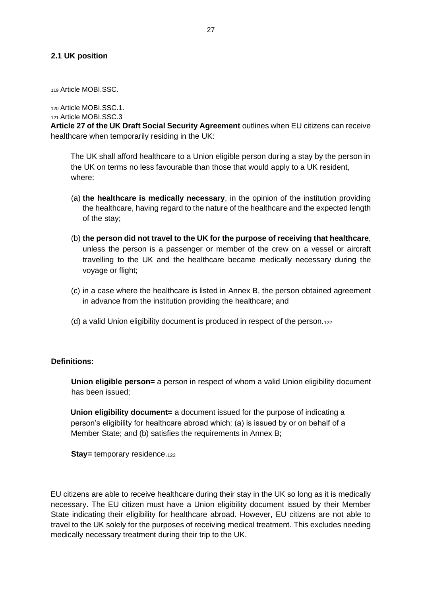#### **2.1 UK position**

<sup>119</sup> Article MOBI.SSC.

<sup>120</sup> Article MOBI.SSC.1.

<sup>121</sup> Article MOBI.SSC.3

**Article 27 of the UK Draft Social Security Agreement** outlines when EU citizens can receive healthcare when temporarily residing in the UK:

The UK shall afford healthcare to a Union eligible person during a stay by the person in the UK on terms no less favourable than those that would apply to a UK resident, where:

- (a) **the healthcare is medically necessary**, in the opinion of the institution providing the healthcare, having regard to the nature of the healthcare and the expected length of the stay;
- (b) **the person did not travel to the UK for the purpose of receiving that healthcare**, unless the person is a passenger or member of the crew on a vessel or aircraft travelling to the UK and the healthcare became medically necessary during the voyage or flight;
- (c) in a case where the healthcare is listed in Annex B, the person obtained agreement in advance from the institution providing the healthcare; and
- (d) a valid Union eligibility document is produced in respect of the person. $_{122}$

### **Definitions:**

**Union eligible person=** a person in respect of whom a valid Union eligibility document has been issued;

**Union eligibility document=** a document issued for the purpose of indicating a person's eligibility for healthcare abroad which: (a) is issued by or on behalf of a Member State; and (b) satisfies the requirements in Annex B;

**Stay=** temporary residence.<sub>123</sub>

EU citizens are able to receive healthcare during their stay in the UK so long as it is medically necessary. The EU citizen must have a Union eligibility document issued by their Member State indicating their eligibility for healthcare abroad. However, EU citizens are not able to travel to the UK solely for the purposes of receiving medical treatment. This excludes needing medically necessary treatment during their trip to the UK.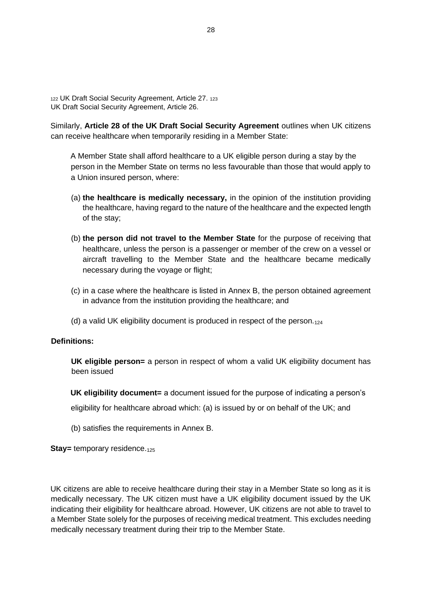<sup>122</sup> UK Draft Social Security Agreement, Article 27. <sup>123</sup> UK Draft Social Security Agreement, Article 26.

Similarly, **Article 28 of the UK Draft Social Security Agreement** outlines when UK citizens can receive healthcare when temporarily residing in a Member State:

A Member State shall afford healthcare to a UK eligible person during a stay by the person in the Member State on terms no less favourable than those that would apply to a Union insured person, where:

- (a) **the healthcare is medically necessary,** in the opinion of the institution providing the healthcare, having regard to the nature of the healthcare and the expected length of the stay;
- (b) **the person did not travel to the Member State** for the purpose of receiving that healthcare, unless the person is a passenger or member of the crew on a vessel or aircraft travelling to the Member State and the healthcare became medically necessary during the voyage or flight;
- (c) in a case where the healthcare is listed in Annex B, the person obtained agreement in advance from the institution providing the healthcare; and
- (d) a valid UK eligibility document is produced in respect of the person. $_{124}$

#### **Definitions:**

**UK eligible person=** a person in respect of whom a valid UK eligibility document has been issued

**UK eligibility document=** a document issued for the purpose of indicating a person's

eligibility for healthcare abroad which: (a) is issued by or on behalf of the UK; and

(b) satisfies the requirements in Annex B.

**Stay=** *temporary* residence.<sub>125</sub>

UK citizens are able to receive healthcare during their stay in a Member State so long as it is medically necessary. The UK citizen must have a UK eligibility document issued by the UK indicating their eligibility for healthcare abroad. However, UK citizens are not able to travel to a Member State solely for the purposes of receiving medical treatment. This excludes needing medically necessary treatment during their trip to the Member State.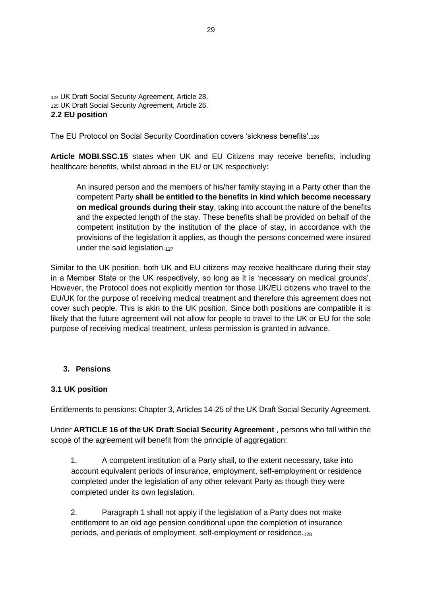```
124 UK Draft Social Security Agreement, Article 28. 
125 UK Draft Social Security Agreement, Article 26. 
2.2 EU position
```
The EU Protocol on Social Security Coordination covers 'sickness benefits'.<sup>126</sup>

**Article MOBI.SSC.15** states when UK and EU Citizens may receive benefits, including healthcare benefits, whilst abroad in the EU or UK respectively:

An insured person and the members of his/her family staying in a Party other than the competent Party **shall be entitled to the benefits in kind which become necessary on medical grounds during their stay**, taking into account the nature of the benefits and the expected length of the stay. These benefits shall be provided on behalf of the competent institution by the institution of the place of stay, in accordance with the provisions of the legislation it applies, as though the persons concerned were insured under the said legislation.127

Similar to the UK position, both UK and EU citizens may receive healthcare during their stay in a Member State or the UK respectively, so long as it is 'necessary on medical grounds'. However, the Protocol does not explicitly mention for those UK/EU citizens who travel to the EU/UK for the purpose of receiving medical treatment and therefore this agreement does not cover such people. This is akin to the UK position. Since both positions are compatible it is likely that the future agreement will not allow for people to travel to the UK or EU for the sole purpose of receiving medical treatment, unless permission is granted in advance.

### **3. Pensions**

### **3.1 UK position**

Entitlements to pensions: Chapter 3, Articles 14-25 of the UK Draft Social Security Agreement.

Under **ARTICLE 16 of the UK Draft Social Security Agreement** , persons who fall within the scope of the agreement will benefit from the principle of aggregation:

1. A competent institution of a Party shall, to the extent necessary, take into account equivalent periods of insurance, employment, self-employment or residence completed under the legislation of any other relevant Party as though they were completed under its own legislation.

2. Paragraph 1 shall not apply if the legislation of a Party does not make entitlement to an old age pension conditional upon the completion of insurance periods, and periods of employment, self-employment or residence.128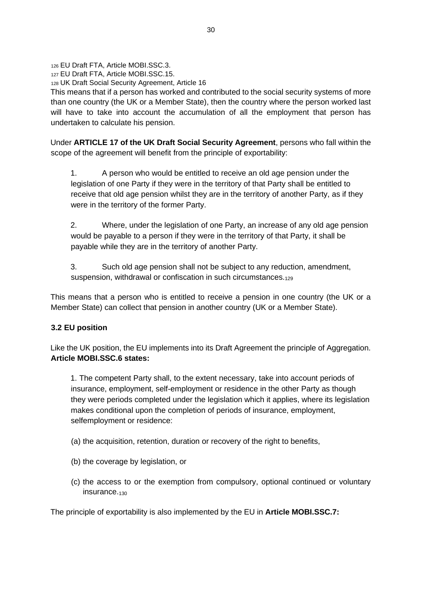<sup>126</sup> EU Draft FTA, Article MOBI.SSC.3.

<sup>127</sup> EU Draft FTA, Article MOBI.SSC.15.

<sup>128</sup> UK Draft Social Security Agreement, Article 16

This means that if a person has worked and contributed to the social security systems of more than one country (the UK or a Member State), then the country where the person worked last will have to take into account the accumulation of all the employment that person has undertaken to calculate his pension.

Under **ARTICLE 17 of the UK Draft Social Security Agreement**, persons who fall within the scope of the agreement will benefit from the principle of exportability:

1. A person who would be entitled to receive an old age pension under the legislation of one Party if they were in the territory of that Party shall be entitled to receive that old age pension whilst they are in the territory of another Party, as if they were in the territory of the former Party.

2. Where, under the legislation of one Party, an increase of any old age pension would be payable to a person if they were in the territory of that Party, it shall be payable while they are in the territory of another Party.

3. Such old age pension shall not be subject to any reduction, amendment, suspension, withdrawal or confiscation in such circumstances.<sub>129</sub>

This means that a person who is entitled to receive a pension in one country (the UK or a Member State) can collect that pension in another country (UK or a Member State).

## **3.2 EU position**

Like the UK position, the EU implements into its Draft Agreement the principle of Aggregation. **Article MOBI.SSC.6 states:**

1. The competent Party shall, to the extent necessary, take into account periods of insurance, employment, self-employment or residence in the other Party as though they were periods completed under the legislation which it applies, where its legislation makes conditional upon the completion of periods of insurance, employment, selfemployment or residence:

- (a) the acquisition, retention, duration or recovery of the right to benefits,
- (b) the coverage by legislation, or
- (c) the access to or the exemption from compulsory, optional continued or voluntary insurance.<sub>130</sub>

The principle of exportability is also implemented by the EU in **Article MOBI.SSC.7:**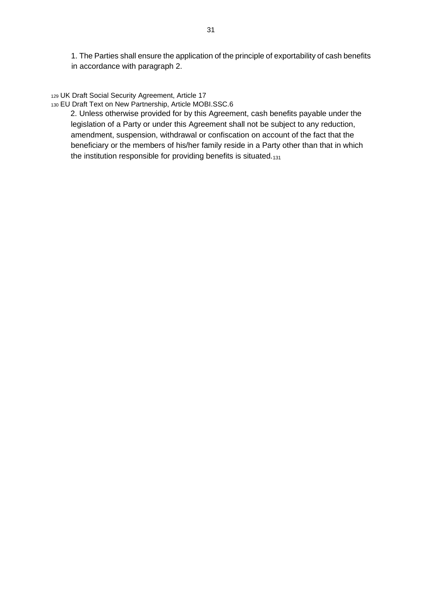1. The Parties shall ensure the application of the principle of exportability of cash benefits in accordance with paragraph 2.

#### <sup>129</sup> UK Draft Social Security Agreement, Article 17

#### <sup>130</sup> EU Draft Text on New Partnership, Article MOBI.SSC.6

2. Unless otherwise provided for by this Agreement, cash benefits payable under the legislation of a Party or under this Agreement shall not be subject to any reduction, amendment, suspension, withdrawal or confiscation on account of the fact that the beneficiary or the members of his/her family reside in a Party other than that in which the institution responsible for providing benefits is situated.<sub>131</sub>